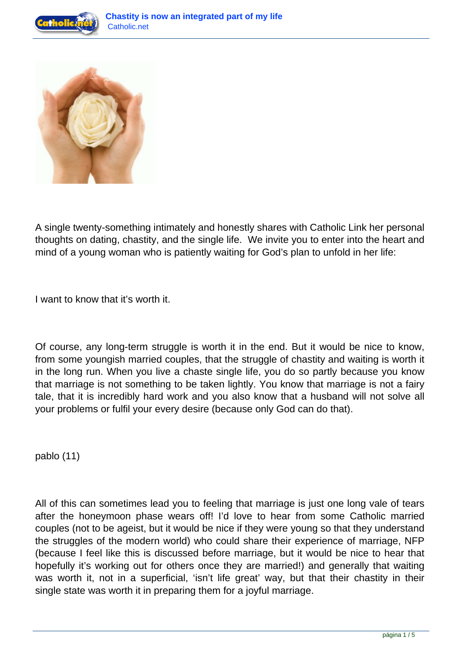



A single twenty-something intimately and honestly shares with Catholic Link her personal thoughts on dating, chastity, and the single life. We invite you to enter into the heart and mind of a young woman who is patiently waiting for God's plan to unfold in her life:

I want to know that it's worth it.

Of course, any long-term struggle is worth it in the end. But it would be nice to know, from some youngish married couples, that the struggle of chastity and waiting is worth it in the long run. When you live a chaste single life, you do so partly because you know that marriage is not something to be taken lightly. You know that marriage is not a fairy tale, that it is incredibly hard work and you also know that a husband will not solve all your problems or fulfil your every desire (because only God can do that).

pablo (11)

All of this can sometimes lead you to feeling that marriage is just one long vale of tears after the honeymoon phase wears off! I'd love to hear from some Catholic married couples (not to be ageist, but it would be nice if they were young so that they understand the struggles of the modern world) who could share their experience of marriage, NFP (because I feel like this is discussed before marriage, but it would be nice to hear that hopefully it's working out for others once they are married!) and generally that waiting was worth it, not in a superficial, 'isn't life great' way, but that their chastity in their single state was worth it in preparing them for a joyful marriage.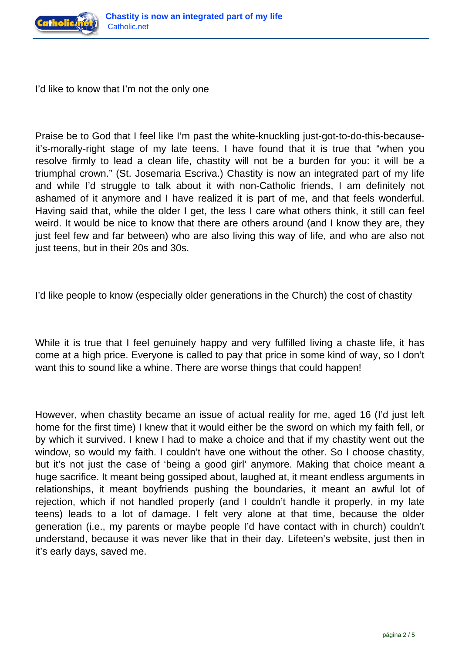

I'd like to know that I'm not the only one

Praise be to God that I feel like I'm past the white-knuckling just-got-to-do-this-becauseit's-morally-right stage of my late teens. I have found that it is true that "when you resolve firmly to lead a clean life, chastity will not be a burden for you: it will be a triumphal crown." (St. Josemaria Escriva.) Chastity is now an integrated part of my life and while I'd struggle to talk about it with non-Catholic friends, I am definitely not ashamed of it anymore and I have realized it is part of me, and that feels wonderful. Having said that, while the older I get, the less I care what others think, it still can feel weird. It would be nice to know that there are others around (and I know they are, they just feel few and far between) who are also living this way of life, and who are also not just teens, but in their 20s and 30s.

I'd like people to know (especially older generations in the Church) the cost of chastity

While it is true that I feel genuinely happy and very fulfilled living a chaste life, it has come at a high price. Everyone is called to pay that price in some kind of way, so I don't want this to sound like a whine. There are worse things that could happen!

However, when chastity became an issue of actual reality for me, aged 16 (I'd just left home for the first time) I knew that it would either be the sword on which my faith fell, or by which it survived. I knew I had to make a choice and that if my chastity went out the window, so would my faith. I couldn't have one without the other. So I choose chastity, but it's not just the case of 'being a good girl' anymore. Making that choice meant a huge sacrifice. It meant being gossiped about, laughed at, it meant endless arguments in relationships, it meant boyfriends pushing the boundaries, it meant an awful lot of rejection, which if not handled properly (and I couldn't handle it properly, in my late teens) leads to a lot of damage. I felt very alone at that time, because the older generation (i.e., my parents or maybe people I'd have contact with in church) couldn't understand, because it was never like that in their day. Lifeteen's website, just then in it's early days, saved me.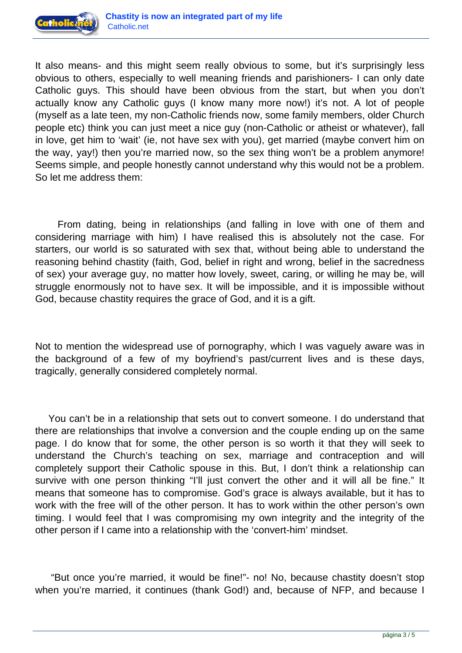

It also means- and this might seem really obvious to some, but it's surprisingly less obvious to others, especially to well meaning friends and parishioners- I can only date Catholic guys. This should have been obvious from the start, but when you don't actually know any Catholic guys (I know many more now!) it's not. A lot of people (myself as a late teen, my non-Catholic friends now, some family members, older Church people etc) think you can just meet a nice guy (non-Catholic or atheist or whatever), fall in love, get him to 'wait' (ie, not have sex with you), get married (maybe convert him on the way, yay!) then you're married now, so the sex thing won't be a problem anymore! Seems simple, and people honestly cannot understand why this would not be a problem. So let me address them:

 From dating, being in relationships (and falling in love with one of them and considering marriage with him) I have realised this is absolutely not the case. For starters, our world is so saturated with sex that, without being able to understand the reasoning behind chastity (faith, God, belief in right and wrong, belief in the sacredness of sex) your average guy, no matter how lovely, sweet, caring, or willing he may be, will struggle enormously not to have sex. It will be impossible, and it is impossible without God, because chastity requires the grace of God, and it is a gift.

Not to mention the widespread use of pornography, which I was vaguely aware was in the background of a few of my boyfriend's past/current lives and is these days, tragically, generally considered completely normal.

 You can't be in a relationship that sets out to convert someone. I do understand that there are relationships that involve a conversion and the couple ending up on the same page. I do know that for some, the other person is so worth it that they will seek to understand the Church's teaching on sex, marriage and contraception and will completely support their Catholic spouse in this. But, I don't think a relationship can survive with one person thinking "I'll just convert the other and it will all be fine." It means that someone has to compromise. God's grace is always available, but it has to work with the free will of the other person. It has to work within the other person's own timing. I would feel that I was compromising my own integrity and the integrity of the other person if I came into a relationship with the 'convert-him' mindset.

 "But once you're married, it would be fine!"- no! No, because chastity doesn't stop when you're married, it continues (thank God!) and, because of NFP, and because I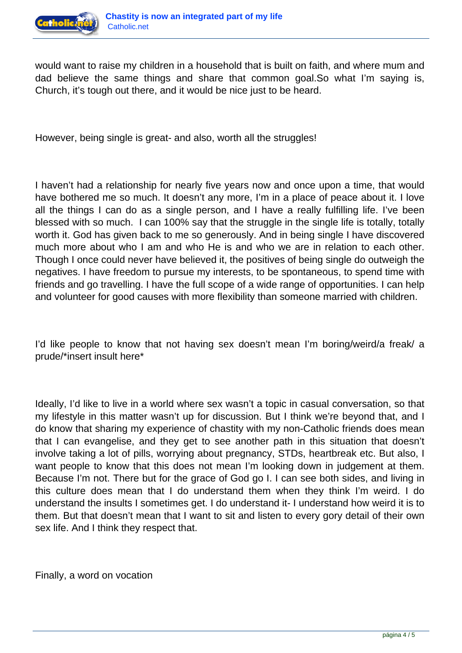

would want to raise my children in a household that is built on faith, and where mum and dad believe the same things and share that common goal.So what I'm saying is, Church, it's tough out there, and it would be nice just to be heard.

However, being single is great- and also, worth all the struggles!

I haven't had a relationship for nearly five years now and once upon a time, that would have bothered me so much. It doesn't any more, I'm in a place of peace about it. I love all the things I can do as a single person, and I have a really fulfilling life. I've been blessed with so much. I can 100% say that the struggle in the single life is totally, totally worth it. God has given back to me so generously. And in being single I have discovered much more about who I am and who He is and who we are in relation to each other. Though I once could never have believed it, the positives of being single do outweigh the negatives. I have freedom to pursue my interests, to be spontaneous, to spend time with friends and go travelling. I have the full scope of a wide range of opportunities. I can help and volunteer for good causes with more flexibility than someone married with children.

I'd like people to know that not having sex doesn't mean I'm boring/weird/a freak/ a prude/\*insert insult here\*

Ideally, I'd like to live in a world where sex wasn't a topic in casual conversation, so that my lifestyle in this matter wasn't up for discussion. But I think we're beyond that, and I do know that sharing my experience of chastity with my non-Catholic friends does mean that I can evangelise, and they get to see another path in this situation that doesn't involve taking a lot of pills, worrying about pregnancy, STDs, heartbreak etc. But also, I want people to know that this does not mean I'm looking down in judgement at them. Because I'm not. There but for the grace of God go I. I can see both sides, and living in this culture does mean that I do understand them when they think I'm weird. I do understand the insults I sometimes get. I do understand it- I understand how weird it is to them. But that doesn't mean that I want to sit and listen to every gory detail of their own sex life. And I think they respect that.

Finally, a word on vocation